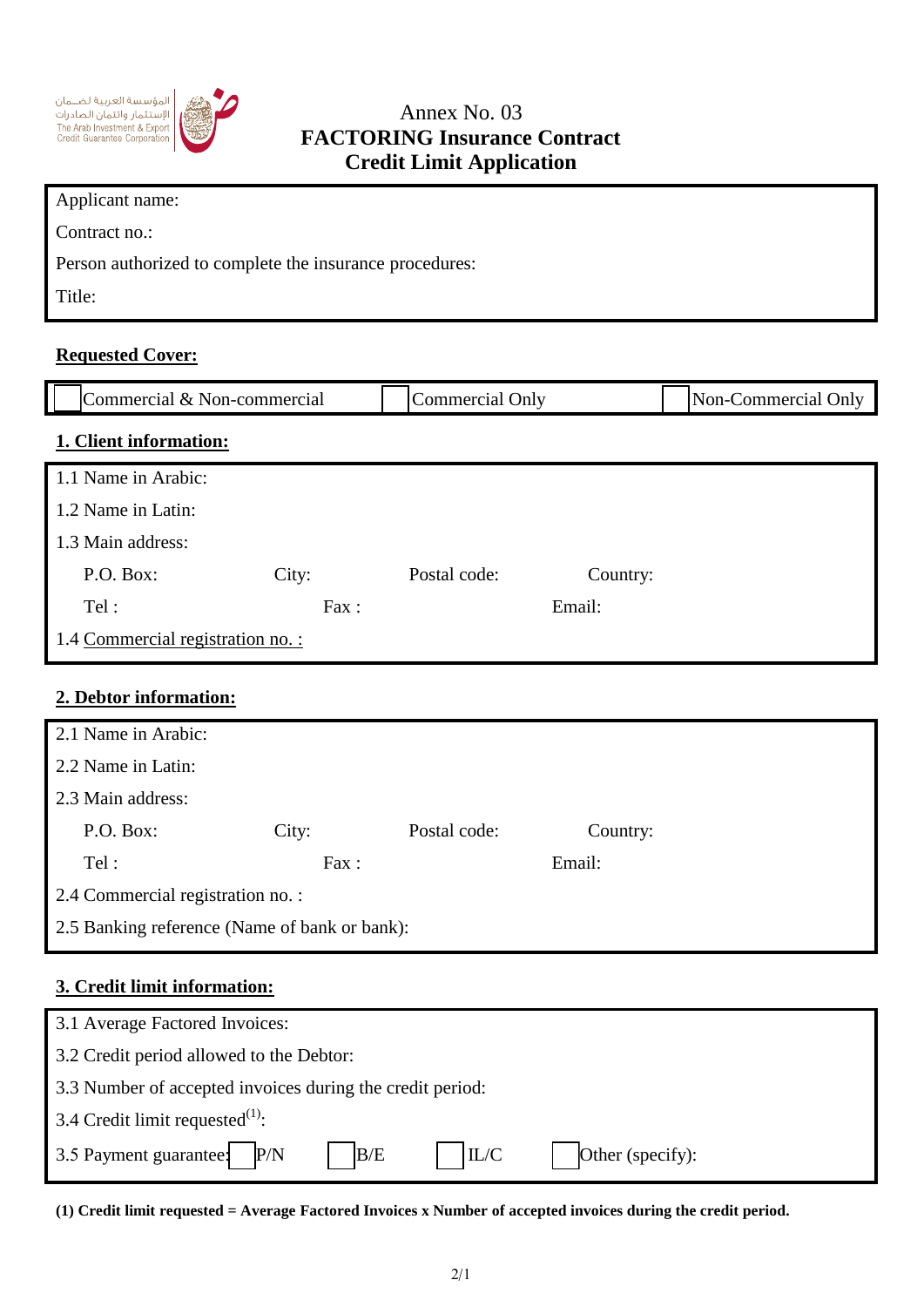



## Annex No. 03 **FACTORING Insurance Contract Credit Limit Application**

| Applicant name:                                         |  |
|---------------------------------------------------------|--|
| Contract no.:                                           |  |
| Person authorized to complete the insurance procedures: |  |
| Title:                                                  |  |

## **Requested Cover:**

| Commercial & Non-commercial       |       | <b>Commercial Only</b> |          | Non-Commercial Only |
|-----------------------------------|-------|------------------------|----------|---------------------|
| 1. Client information:            |       |                        |          |                     |
| 1.1 Name in Arabic:               |       |                        |          |                     |
| 1.2 Name in Latin:                |       |                        |          |                     |
| 1.3 Main address:                 |       |                        |          |                     |
| P.O. Box:                         | City: | Postal code:           | Country: |                     |
| Tel:                              | Fax:  |                        | Email:   |                     |
| 1.4 Commercial registration no. : |       |                        |          |                     |
|                                   |       |                        |          |                     |
| 2. Debtor information:            |       |                        |          |                     |
| 2.1 Name in Arabic:               |       |                        |          |                     |
| 2.2 Name in Latin:                |       |                        |          |                     |

| 2.3 Main address:                             |       |              |          |  |
|-----------------------------------------------|-------|--------------|----------|--|
| P.O. Box:                                     | City: | Postal code: | Country: |  |
| Tel:                                          | Fax : |              | Email:   |  |
| 2.4 Commercial registration no. :             |       |              |          |  |
| 2.5 Banking reference (Name of bank or bank): |       |              |          |  |

## **3. Credit limit information:**

| 3.1 Average Factored Invoices:                            |                  |  |  |  |
|-----------------------------------------------------------|------------------|--|--|--|
| 3.2 Credit period allowed to the Debtor:                  |                  |  |  |  |
| 3.3 Number of accepted invoices during the credit period: |                  |  |  |  |
| 3.4 Credit limit requested $^{(1)}$ :                     |                  |  |  |  |
| IL/C<br>3.5 Payment guarantee: P/N<br>B/E                 | Other (specify): |  |  |  |

**(1) Credit limit requested = Average Factored Invoices x Number of accepted invoices during the credit period.**